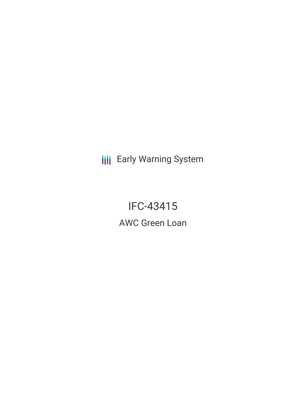**III** Early Warning System

IFC-43415 AWC Green Loan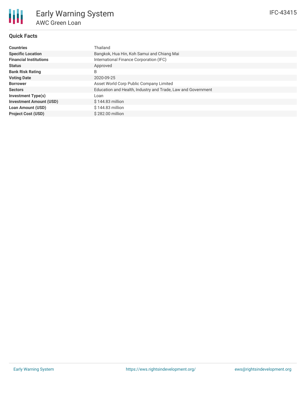## **Quick Facts**

| <b>Countries</b>               | Thailand                                                     |  |  |  |
|--------------------------------|--------------------------------------------------------------|--|--|--|
| <b>Specific Location</b>       | Bangkok, Hua Hin, Koh Samui and Chiang Mai                   |  |  |  |
| <b>Financial Institutions</b>  | International Finance Corporation (IFC)                      |  |  |  |
| <b>Status</b>                  | Approved                                                     |  |  |  |
| <b>Bank Risk Rating</b>        | B                                                            |  |  |  |
| <b>Voting Date</b>             | 2020-09-25                                                   |  |  |  |
| <b>Borrower</b>                | Asset World Corp Public Company Limited                      |  |  |  |
| <b>Sectors</b>                 | Education and Health, Industry and Trade, Law and Government |  |  |  |
| <b>Investment Type(s)</b>      | Loan                                                         |  |  |  |
| <b>Investment Amount (USD)</b> | $$144.83$ million                                            |  |  |  |
| <b>Loan Amount (USD)</b>       | $$144.83$ million                                            |  |  |  |
| <b>Project Cost (USD)</b>      | \$282.00 million                                             |  |  |  |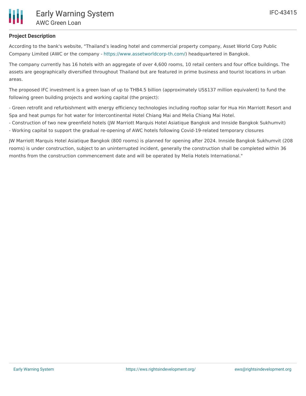

## **Project Description**

According to the bank's website, "Thailand's leading hotel and commercial property company, Asset World Corp Public Company Limited (AWC or the company - <https://www.assetworldcorp-th.com/>) headquartered in Bangkok.

The company currently has 16 hotels with an aggregate of over 4,600 rooms, 10 retail centers and four office buildings. The assets are geographically diversified throughout Thailand but are featured in prime business and tourist locations in urban areas.

The proposed IFC investment is a green loan of up to THB4.5 billion (approximately US\$137 million equivalent) to fund the following green building projects and working capital (the project):

- Green retrofit and refurbishment with energy efficiency technologies including rooftop solar for Hua Hin Marriott Resort and Spa and heat pumps for hot water for Intercontinental Hotel Chiang Mai and Melia Chiang Mai Hotel.

- Construction of two new greenfield hotels (JW Marriott Marquis Hotel Asiatique Bangkok and Innside Bangkok Sukhumvit)

- Working capital to support the gradual re-opening of AWC hotels following Covid-19-related temporary closures

JW Marriott Marquis Hotel Asiatique Bangkok (800 rooms) is planned for opening after 2024. Innside Bangkok Sukhumvit (208 rooms) is under construction, subject to an uninterrupted incident, generally the construction shall be completed within 36 months from the construction commencement date and will be operated by Melia Hotels International."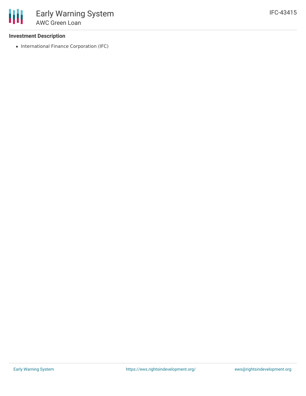### **Investment Description**

• International Finance Corporation (IFC)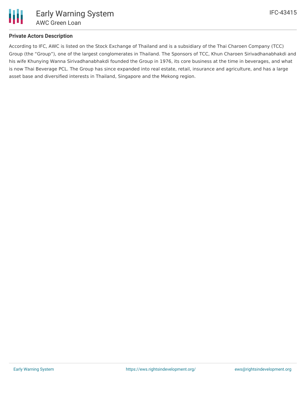

## **Private Actors Description**

According to IFC, AWC is listed on the Stock Exchange of Thailand and is a subsidiary of the Thai Charoen Company (TCC) Group (the "Group"), one of the largest conglomerates in Thailand. The Sponsors of TCC, Khun Charoen Sirivadhanabhakdi and his wife Khunying Wanna Sirivadhanabhakdi founded the Group in 1976, its core business at the time in beverages, and what is now Thai Beverage PCL. The Group has since expanded into real estate, retail, insurance and agriculture, and has a large asset base and diversified interests in Thailand, Singapore and the Mekong region.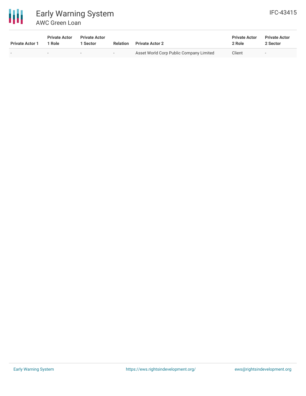

# Early Warning System AWC Green Loan

| <b>Private Actor 1</b> | <b>Private Actor</b><br>1 Role | <b>Private Actor</b><br>Sector | <b>Relation</b>          | <b>Private Actor 2</b>                  | <b>Private Actor</b><br>2 Role | <b>Private Actor</b><br>2 Sector |
|------------------------|--------------------------------|--------------------------------|--------------------------|-----------------------------------------|--------------------------------|----------------------------------|
| $\sim$                 |                                | $\overline{\phantom{0}}$       | $\overline{\phantom{0}}$ | Asset World Corp Public Company Limited | Client                         | $\overline{\phantom{a}}$         |